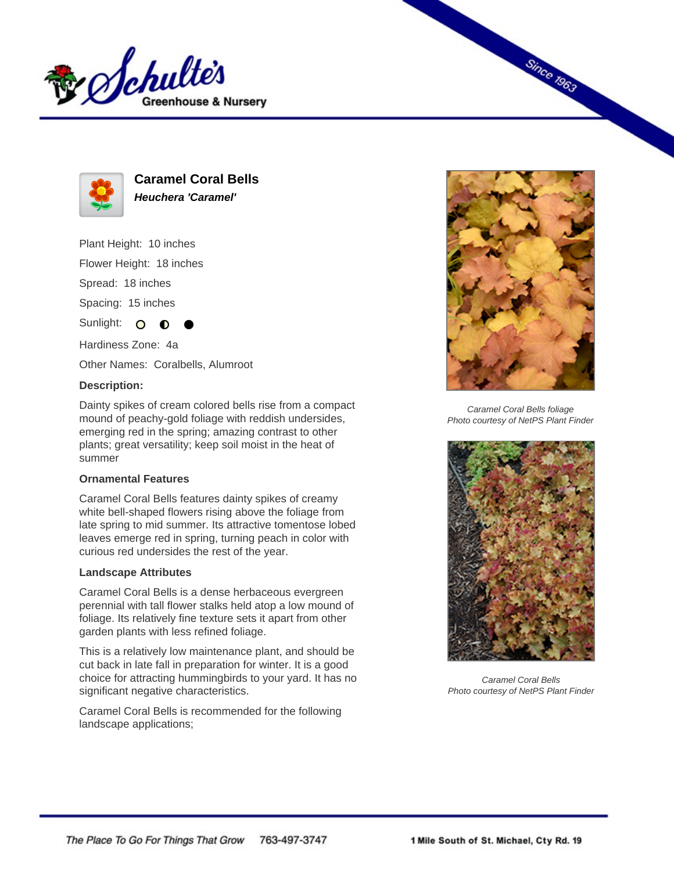



**Caramel Coral Bells Heuchera 'Caramel'**

Plant Height: 10 inches Flower Height: 18 inches

Spread: 18 inches

Spacing: 15 inches

Sunlight: O ∩

Hardiness Zone: 4a

Other Names: Coralbells, Alumroot

## **Description:**

Dainty spikes of cream colored bells rise from a compact mound of peachy-gold foliage with reddish undersides, emerging red in the spring; amazing contrast to other plants; great versatility; keep soil moist in the heat of summer

## **Ornamental Features**

Caramel Coral Bells features dainty spikes of creamy white bell-shaped flowers rising above the foliage from late spring to mid summer. Its attractive tomentose lobed leaves emerge red in spring, turning peach in color with curious red undersides the rest of the year.

## **Landscape Attributes**

Caramel Coral Bells is a dense herbaceous evergreen perennial with tall flower stalks held atop a low mound of foliage. Its relatively fine texture sets it apart from other garden plants with less refined foliage.

This is a relatively low maintenance plant, and should be cut back in late fall in preparation for winter. It is a good choice for attracting hummingbirds to your yard. It has no significant negative characteristics.

Caramel Coral Bells is recommended for the following landscape applications;



**Since 1963** 

Caramel Coral Bells foliage Photo courtesy of NetPS Plant Finder



Caramel Coral Bells Photo courtesy of NetPS Plant Finder